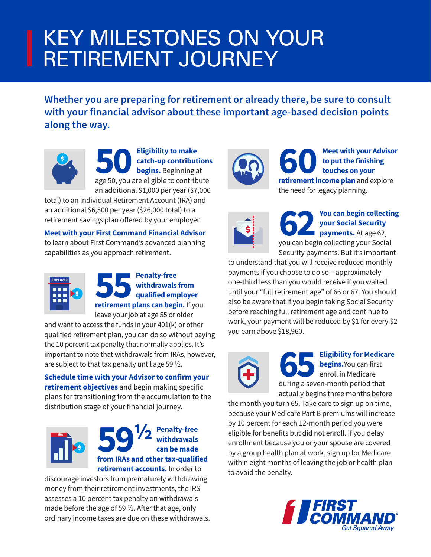## KEY MILESTONES ON YOUR RETIREMENT JOURNEY

**Whether you are preparing for retirement or already there, be sure to consult with your financial advisor about these important age-based decision points along the way.**



Eligibility to make<br> **Example 19 Catch-up contributions**<br>
begins. Beginning at<br>
age 50, you are eligible to contribute **catch-up contributions begins.** Beginning at an additional \$1,000 per year (\$7,000

total) to an Individual Retirement Account (IRA) and an additional \$6,500 per year (\$26,000 total) to a retirement savings plan offered by your employer.

**Meet with your First Command Financial Advisor** to learn about First Command's advanced planning capabilities as you approach retirement.



## **55 Penalty-free**<br> **retirement plans can begin.** If you **withdrawals from qualified employer**

leave your job at age 55 or older

and want to access the funds in your 401(k) or other qualified retirement plan, you can do so without paying the 10 percent tax penalty that normally applies. It's important to note that withdrawals from IRAs, however, are subject to that tax penalty until age 59  $\frac{1}{2}$ .

**Schedule time with your Advisor to confirm your retirement objectives** and begin making specific plans for transitioning from the accumulation to the distribution stage of your financial journey.



**59 1/2** Penalty-free<br>
can be made<br>
from IRAs and other tax-qualified **withdrawals can be made retirement accounts.** In order to

discourage investors from prematurely withdrawing money from their retirement investments, the IRS assesses a 10 percent tax penalty on withdrawals made before the age of 59 ½. After that age, only ordinary income taxes are due on these withdrawals.



**60 Meet with your Advisor**<br> **retirement income plan** and explore **to put the finishing touches on your**  the need for legacy planning.



**622 You can begin collecting<br>
your Social Security<br>
you can begin collecting your Social<br>
you can begin collecting your Social your Social Security payments.** At age 62, Security payments. But it's important

to understand that you will receive reduced monthly payments if you choose to do so – approximately one-third less than you would receive if you waited until your "full retirement age" of 66 or 67. You should also be aware that if you begin taking Social Security before reaching full retirement age and continue to work, your payment will be reduced by \$1 for every \$2 you earn above \$18,960.



**65 Eligibility for Medicare begins.**You can first enroll in Medicare during a seven-month period that actually begins three months before

the month you turn 65. Take care to sign up on time, because your Medicare Part B premiums will increase by 10 percent for each 12-month period you were eligible for benefits but did not enroll. If you delay enrollment because you or your spouse are covered by a group health plan at work, sign up for Medicare within eight months of leaving the job or health plan to avoid the penalty.